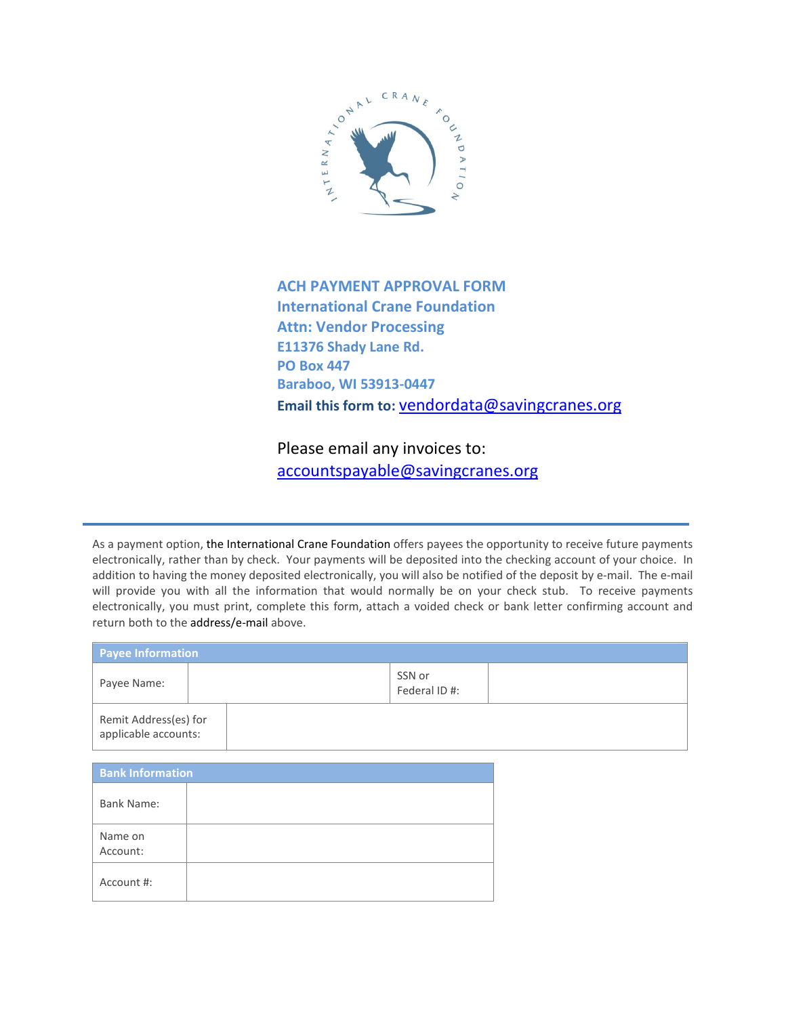

## **ACH PAYMENT APPROVAL FORM International Crane Foundation Attn: Vendor Processing E11376 Shady Lane Rd. PO Box 447 Baraboo, WI 53913-0447 Email this form to:** [vendordata@savingcranes.org](mailto:vendordata@savingcranes.org)

Please email any invoices to: [accountspayable@savingcranes.org](mailto:accountspayable@savingcranes.org)

As a payment option, the International Crane Foundation offers payees the opportunity to receive future payments electronically, rather than by check. Your payments will be deposited into the checking account of your choice. In addition to having the money deposited electronically, you will also be notified of the deposit by e-mail. The e-mail will provide you with all the information that would normally be on your check stub. To receive payments electronically, you must print, complete this form, attach a voided check or bank letter confirming account and return both to the address/e-mail above.

| <b>Payee Information</b>                      |  |                         |  |  |  |
|-----------------------------------------------|--|-------------------------|--|--|--|
| Payee Name:                                   |  | SSN or<br>Federal ID #: |  |  |  |
| Remit Address(es) for<br>applicable accounts: |  |                         |  |  |  |

| <b>Bank Information</b> |  |  |  |  |
|-------------------------|--|--|--|--|
| <b>Bank Name:</b>       |  |  |  |  |
| Name on<br>Account:     |  |  |  |  |
| Account #:              |  |  |  |  |